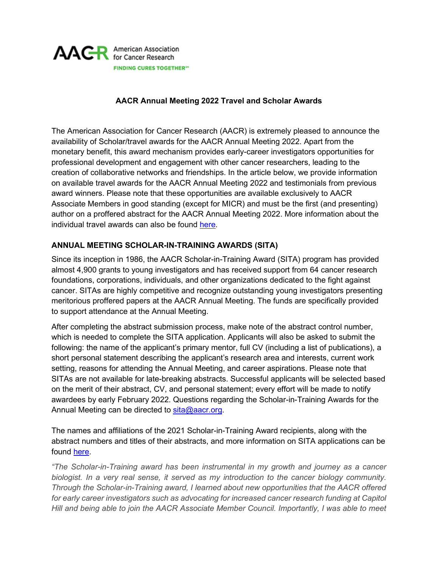

## **AACR Annual Meeting 2022 Travel and Scholar Awards**

The American Association for Cancer Research (AACR) is extremely pleased to announce the availability of Scholar/travel awards for the AACR Annual Meeting 2022. Apart from the monetary benefit, this award mechanism provides early-career investigators opportunities for professional development and engagement with other cancer researchers, leading to the creation of collaborative networks and friendships. In the article below, we provide information on available travel awards for the AACR Annual Meeting 2022 and testimonials from previous award winners. Please note that these opportunities are available exclusively to AACR Associate Members in good standing (except for MICR) and must be the first (and presenting) author on a proffered abstract for the AACR Annual Meeting 2022. More information about the individual travel awards can also be found [here.](https://www.aacr.org/professionals/meetings/aacr-travel-grants/)

## **ANNUAL MEETING SCHOLAR-IN-TRAINING AWARDS (SITA)**

Since its inception in 1986, the AACR Scholar-in-Training Award (SITA) program has provided almost 4,900 grants to young investigators and has received support from 64 cancer research foundations, corporations, individuals, and other organizations dedicated to the fight against cancer. SITAs are highly competitive and recognize outstanding young investigators presenting meritorious proffered papers at the AACR Annual Meeting. The funds are specifically provided to support attendance at the Annual Meeting.

After completing the abstract submission process, make note of the abstract control number, which is needed to complete the SITA application. Applicants will also be asked to submit the following: the name of the applicant's primary mentor, full CV (including a list of publications), a short personal statement describing the applicant's research area and interests, current work setting, reasons for attending the Annual Meeting, and career aspirations. Please note that SITAs are not available for late-breaking abstracts. Successful applicants will be selected based on the merit of their abstract, CV, and personal statement; every effort will be made to notify awardees by early February 2022. Questions regarding the Scholar-in-Training Awards for the Annual Meeting can be directed to [sita@aacr.org.](mailto:sita@aacr.org)

The names and affiliations of the 2021 Scholar-in-Training Award recipients, along with the abstract numbers and titles of their abstracts, and more information on SITA applications can be found [here.](https://www.aacr.org/professionals/meetings/aacr-travel-grants/scholar-in-training-awards-annual-meeting/)

*"The Scholar-in-Training award has been instrumental in my growth and journey as a cancer biologist. In a very real sense, it served as my introduction to the cancer biology community. Through the Scholar-in-Training award, I learned about new opportunities that the AACR offered for early career investigators such as advocating for increased cancer research funding at Capitol Hill and being able to join the AACR Associate Member Council. Importantly, I was able to meet*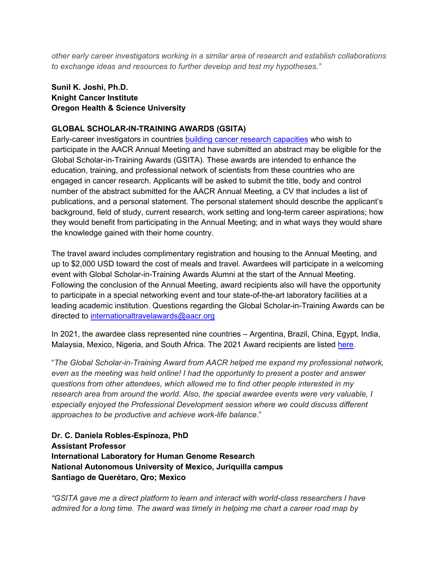*other early career investigators working in a similar area of research and establish collaborations to exchange ideas and resources to further develop and test my hypotheses."*

## **Sunil K. Joshi, Ph.D. Knight Cancer Institute Oregon Health & Science University**

#### **GLOBAL SCHOLAR-IN-TRAINING AWARDS (GSITA)**

Early-career investigators in countries [building cancer research capacities](https://www.aacr.org/wp-content/uploads/2020/08/2021-GSITA-Eligible-Country-List.pdf) who wish to participate in the AACR Annual Meeting and have submitted an abstract may be eligible for the Global Scholar-in-Training Awards (GSITA). These awards are intended to enhance the education, training, and professional network of scientists from these countries who are engaged in cancer research. Applicants will be asked to submit the title, body and control number of the abstract submitted for the AACR Annual Meeting, a CV that includes a list of publications, and a personal statement. The personal statement should describe the applicant's background, field of study, current research, work setting and long-term career aspirations; how they would benefit from participating in the Annual Meeting; and in what ways they would share the knowledge gained with their home country.

The travel award includes complimentary registration and housing to the Annual Meeting, and up to \$2,000 USD toward the cost of meals and travel. Awardees will participate in a welcoming event with Global Scholar-in-Training Awards Alumni at the start of the Annual Meeting. Following the conclusion of the Annual Meeting, award recipients also will have the opportunity to participate in a special networking event and tour state-of-the-art laboratory facilities at a leading academic institution. Questions regarding the Global Scholar-in-Training Awards can be directed to [internationaltravelawards@aacr.org](mailto:internationaltravelawards@aacr.org)

In 2021, the awardee class represented nine countries – Argentina, Brazil, China, Egypt, India, Malaysia, Mexico, Nigeria, and South Africa. The 2021 Award recipients are listed [here.](https://www.aacr.org/professionals/meetings/aacr-travel-grants/global-scholar-in-training-awards-2/global-scholar-in-training-awards-recipients/)

"*The Global Scholar-in-Training Award from AACR helped me expand my professional network, even as the meeting was held online! I had the opportunity to present a poster and answer questions from other attendees, which allowed me to find other people interested in my research area from around the world. Also, the special awardee events were very valuable, I especially enjoyed the Professional Development session where we could discuss different approaches to be productive and achieve work-life balance*."

**Dr. C. Daniela Robles-Espinoza, PhD Assistant Professor International Laboratory for Human Genome Research National Autonomous University of Mexico, Juriquilla campus Santiago de Querétaro, Qro; Mexico**

*"GSITA gave me a direct platform to learn and interact with world-class researchers I have admired for a long time. The award was timely in helping me chart a career road map by*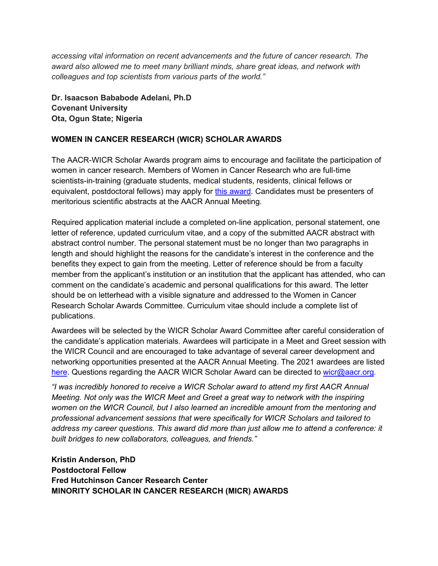*accessing vital information on recent advancements and the future of cancer research. The award also allowed me to meet many brilliant minds, share great ideas, and network with colleagues and top scientists from various parts of the world."*

**Dr. Isaacson Bababode Adelani, Ph.D Covenant University Ota, Ogun State; Nigeria**

## **WOMEN IN CANCER RESEARCH (WICR) SCHOLAR AWARDS**

The AACR-WICR Scholar Awards program aims to encourage and facilitate the participation of women in cancer research. Members of Women in Cancer Research who are full-time scientists-in-training (graduate students, medical students, residents, clinical fellows or equivalent, postdocto[r](https://www.aacr.org/professionals/meetings/aacr-travel-grants/women-in-cancer-research-scholar-awards/)al fellows) may apply for [this award.](https://www.aacr.org/professionals/meetings/aacr-travel-grants/women-in-cancer-research-scholar-awards/) Candidates must be presenters of meritorious scientific abstracts at the AACR Annual Meeting.

Required application material include a completed on-line application, personal statement, one letter of reference, updated curriculum vitae, and a copy of the submitted AACR abstract with abstract control number. The personal statement must be no longer than two paragraphs in length and should highlight the reasons for the candidate's interest in the conference and the benefits they expect to gain from the meeting. Letter of reference should be from a faculty member from the applicant's institution or an institution that the applicant has attended, who can comment on the candidate's academic and personal qualifications for this award. The letter should be on letterhead with a visible signature and addressed to the Women in Cancer Research Scholar Awards Committee. Curriculum vitae should include a complete list of publications.

Awardees will be selected by the WICR Scholar Award Committee after careful consideration of the candidate's application materials. Awardees will participate in a Meet and Greet session with the WICR Council and are encouraged to take advantage of several career development and networking opportunities presented at the AACR Annual Meeting. The 2021 awardees are liste[d](https://www.aacr.org/professionals/meetings/aacr-travel-grants/women-in-cancer-research-scholar-awards/2021-women-in-cancer-research-scholar-awards/) [here.](https://www.aacr.org/professionals/meetings/aacr-travel-grants/women-in-cancer-research-scholar-awards/2021-women-in-cancer-research-scholar-awards/) Questions regarding the AACR WICR Scholar Award can be directed to [wicr@aacr.org.](mailto:wicr@aacr.org)

*"I was incredibly honored to receive a WICR Scholar award to attend my first AACR Annual Meeting. Not only was the WICR Meet and Greet a great way to network with the inspiring women on the WICR Council, but I also learned an incredible amount from the mentoring and professional advancement sessions that were specifically for WICR Scholars and tailored to address my career questions. This award did more than just allow me to attend a conference: it built bridges to new collaborators, colleagues, and friends."* 

**Kristin Anderson, PhD Postdoctoral Fellow Fred Hutchinson Cancer Research Center MINORITY SCHOLAR IN CANCER RESEARCH (MICR) AWARDS**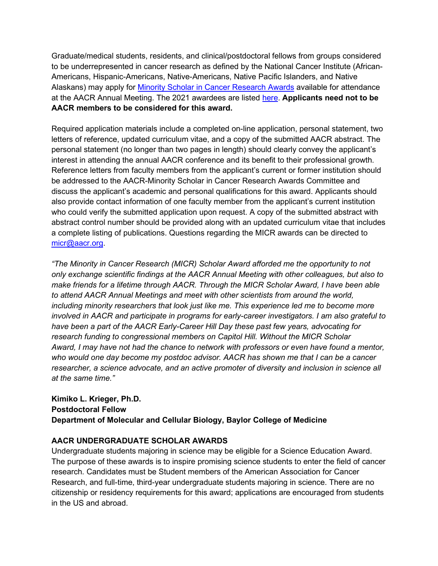Graduate/medical students, residents, and clinical/postdoctoral fellows from groups considered to be underrepresented in cancer research as defined by the National Cancer Institute (African-Americans, Hispanic-Americans, Native-Americans, Native Pacific Islanders, and Native Alaskans) may apply for [Minority Scholar in Cancer Research Awards](https://www.aacr.org/professionals/meetings/aacr-travel-grants/aacr-minority-scholar-in-cancer-research-awards/) available for attendance at the AACR Annual Meeting. The 2021 awardees are liste[d](https://www.aacr.org/professionals/meetings/aacr-travel-grants/women-in-cancer-research-scholar-awards/2021-women-in-cancer-research-scholar-awards/) [here.](https://www.aacr.org/professionals/meetings/aacr-travel-grants/aacr-minority-scholar-in-cancer-research-awards/2021-minority-scholar-in-cancer-research-awards/) **Applicants need not to be AACR members to be considered for this award.**

Required application materials include a completed on-line application, personal statement, two letters of reference, updated curriculum vitae, and a copy of the submitted AACR abstract. The personal statement (no longer than two pages in length) should clearly convey the applicant's interest in attending the annual AACR conference and its benefit to their professional growth. Reference letters from faculty members from the applicant's current or former institution should be addressed to the AACR-Minority Scholar in Cancer Research Awards Committee and discuss the applicant's academic and personal qualifications for this award. Applicants should also provide contact information of one faculty member from the applicant's current institution who could verify the submitted application upon request. A copy of the submitted abstract with abstract control number should be provided along with an updated curriculum vitae that includes a complete listing of publications. Questions regarding the MICR awards can be directed to [micr@aacr.org.](mailto:micr@aacr.org)

*"The Minority in Cancer Research (MICR) Scholar Award afforded me the opportunity to not only exchange scientific findings at the AACR Annual Meeting with other colleagues, but also to make friends for a lifetime through AACR. Through the MICR Scholar Award, I have been able to attend AACR Annual Meetings and meet with other scientists from around the world, including minority researchers that look just like me. This experience led me to become more involved in AACR and participate in programs for early-career investigators. I am also grateful to have been a part of the AACR Early-Career Hill Day these past few years, advocating for research funding to congressional members on Capitol Hill. Without the MICR Scholar Award, I may have not had the chance to network with professors or even have found a mentor, who would one day become my postdoc advisor. AACR has shown me that I can be a cancer researcher, a science advocate, and an active promoter of diversity and inclusion in science all at the same time."*

## **Kimiko L. Krieger, Ph.D. Postdoctoral Fellow Department of Molecular and Cellular Biology, Baylor College of Medicine**

# **AACR UNDERGRADUATE SCHOLAR AWARDS**

Undergraduate students majoring in science may be eligible for a Science Education Award. The purpose of these awards is to inspire promising science students to enter the field of cancer research. Candidates must be Student members of the American Association for Cancer Research, and full-time, third-year undergraduate students majoring in science. There are no citizenship or residency requirements for this award; applications are encouraged from students in the US and abroad.